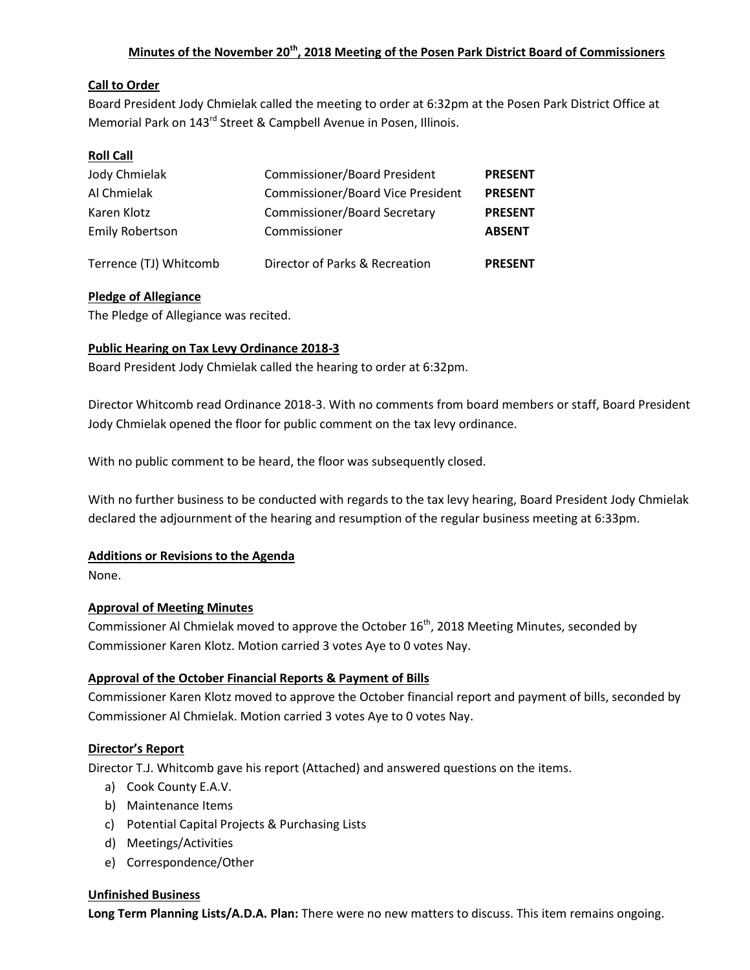# **Minutes of the November 20th, 2018 Meeting of the Posen Park District Board of Commissioners**

## **Call to Order**

Board President Jody Chmielak called the meeting to order at 6:32pm at the Posen Park District Office at Memorial Park on 143<sup>rd</sup> Street & Campbell Avenue in Posen, Illinois.

## **Roll Call**

| Jody Chmielak          | <b>Commissioner/Board President</b>      | <b>PRESENT</b> |
|------------------------|------------------------------------------|----------------|
| Al Chmielak            | <b>Commissioner/Board Vice President</b> | <b>PRESENT</b> |
| Karen Klotz            | <b>Commissioner/Board Secretary</b>      | <b>PRESENT</b> |
| <b>Emily Robertson</b> | Commissioner                             | <b>ABSENT</b>  |
| Terrence (TJ) Whitcomb | Director of Parks & Recreation           | <b>PRESENT</b> |

## **Pledge of Allegiance**

The Pledge of Allegiance was recited.

## **Public Hearing on Tax Levy Ordinance 2018-3**

Board President Jody Chmielak called the hearing to order at 6:32pm.

Director Whitcomb read Ordinance 2018-3. With no comments from board members or staff, Board President Jody Chmielak opened the floor for public comment on the tax levy ordinance.

With no public comment to be heard, the floor was subsequently closed.

With no further business to be conducted with regards to the tax levy hearing, Board President Jody Chmielak declared the adjournment of the hearing and resumption of the regular business meeting at 6:33pm.

## **Additions or Revisions to the Agenda**

None.

## **Approval of Meeting Minutes**

Commissioner Al Chmielak moved to approve the October  $16<sup>th</sup>$ , 2018 Meeting Minutes, seconded by Commissioner Karen Klotz. Motion carried 3 votes Aye to 0 votes Nay.

## **Approval of the October Financial Reports & Payment of Bills**

Commissioner Karen Klotz moved to approve the October financial report and payment of bills, seconded by Commissioner Al Chmielak. Motion carried 3 votes Aye to 0 votes Nay.

#### **Director's Report**

Director T.J. Whitcomb gave his report (Attached) and answered questions on the items.

- a) Cook County E.A.V.
- b) Maintenance Items
- c) Potential Capital Projects & Purchasing Lists
- d) Meetings/Activities
- e) Correspondence/Other

#### **Unfinished Business**

**Long Term Planning Lists/A.D.A. Plan:** There were no new matters to discuss. This item remains ongoing.